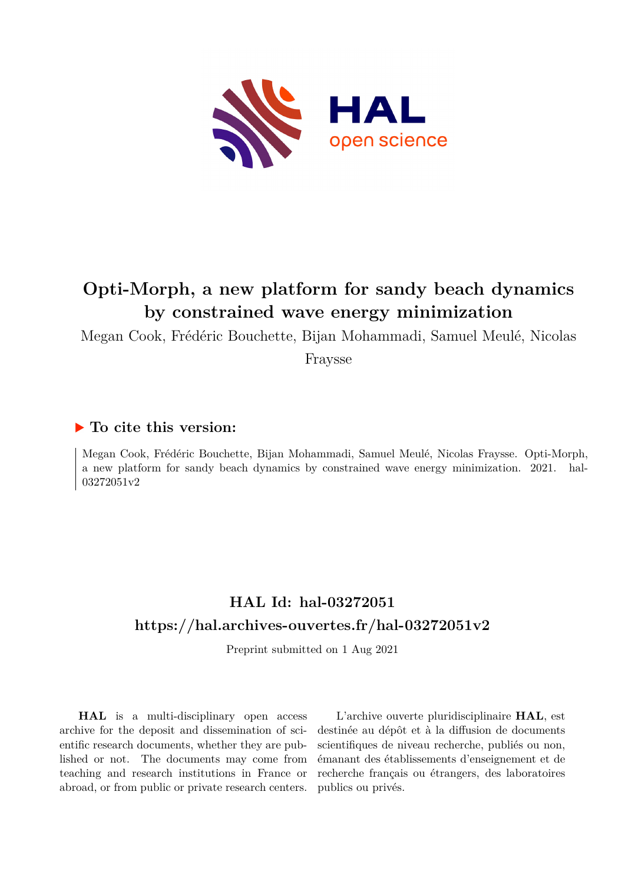

# **Opti-Morph, a new platform for sandy beach dynamics by constrained wave energy minimization**

Megan Cook, Frédéric Bouchette, Bijan Mohammadi, Samuel Meulé, Nicolas

Fraysse

## **To cite this version:**

Megan Cook, Frédéric Bouchette, Bijan Mohammadi, Samuel Meulé, Nicolas Fraysse. Opti-Morph, a new platform for sandy beach dynamics by constrained wave energy minimization. 2021. hal-03272051v2

## **HAL Id: hal-03272051 <https://hal.archives-ouvertes.fr/hal-03272051v2>**

Preprint submitted on 1 Aug 2021

**HAL** is a multi-disciplinary open access archive for the deposit and dissemination of scientific research documents, whether they are published or not. The documents may come from teaching and research institutions in France or abroad, or from public or private research centers.

L'archive ouverte pluridisciplinaire **HAL**, est destinée au dépôt et à la diffusion de documents scientifiques de niveau recherche, publiés ou non, émanant des établissements d'enseignement et de recherche français ou étrangers, des laboratoires publics ou privés.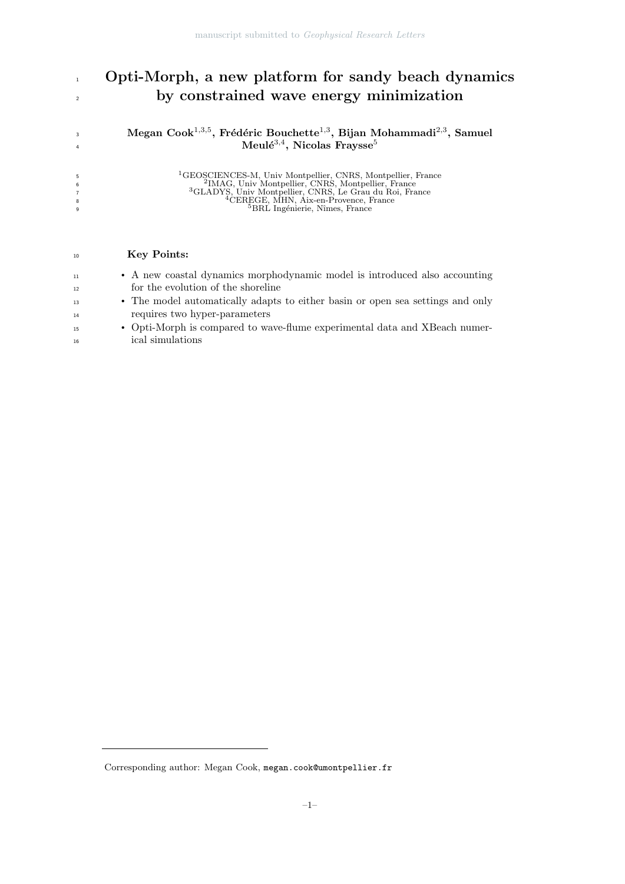## 1 Opti-Morph, a new platform for sandy beach dynamics by constrained wave energy minimization

 $\rm{Megan\ Cook^{1,3,5},\ Fr\'{e}d\'{e}ric\ Bouchette^{1,3},\ Bijan\ Mohammadi^{2,3},\ Samuel}$  $\text{Meul\'e}^{3,4}$ , Nicolas Fraysse<sup>5</sup>

| <sup>1</sup> GEOSCIENCES-M, Univ Montpellier, CNRS, Montpellier, France<br><sup>2</sup> IMAG, Univ Montpellier, CNRS, Montpellier, France<br><sup>3</sup> GLADYS, Univ Montpellier, CNRS, Le Grau du Roi, France<br><sup>4</sup> CEREGE, MHN, Aix-en-Provence, France |
|-----------------------------------------------------------------------------------------------------------------------------------------------------------------------------------------------------------------------------------------------------------------------|
|                                                                                                                                                                                                                                                                       |
| <sup>5</sup> BRL Ingénierie, Nîmes, France                                                                                                                                                                                                                            |
|                                                                                                                                                                                                                                                                       |

### 10 Key Points:

| 11 | • A new coastal dynamics morphodynamic model is introduced also accounting     |
|----|--------------------------------------------------------------------------------|
| 12 | for the evolution of the shoreline                                             |
| 13 | • The model automatically adapts to either basin or open sea settings and only |
| 14 | requires two hyper-parameters                                                  |
| 15 | • Opti-Morph is compared to wave-flume experimental data and XBeach numer-     |

ical simulations

Corresponding author: Megan Cook, megan.cook@umontpellier.fr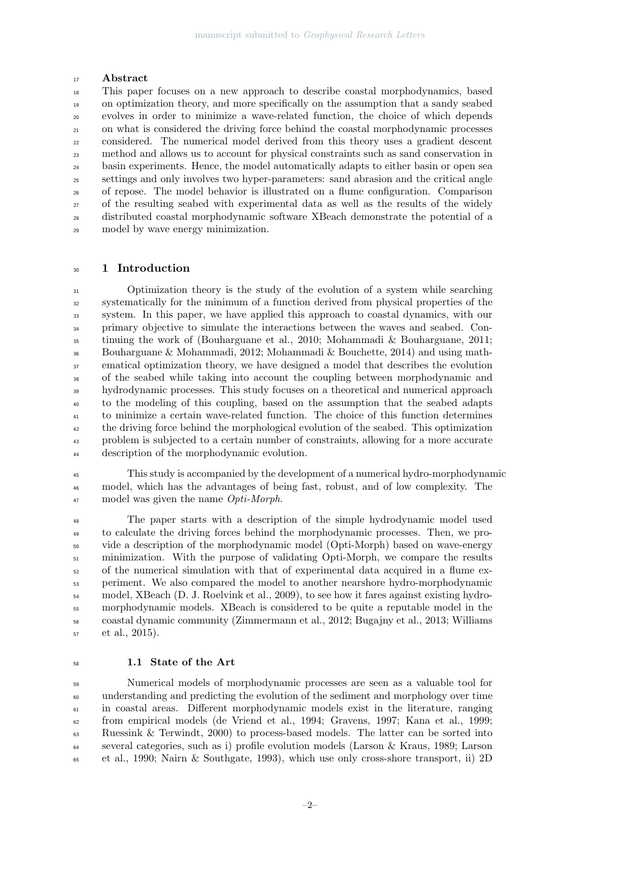#### 17 Abstract

 This paper focuses on a new approach to describe coastal morphodynamics, based on optimization theory, and more specifically on the assumption that a sandy seabed evolves in order to minimize a wave-related function, the choice of which depends on what is considered the driving force behind the coastal morphodynamic processes considered. The numerical model derived from this theory uses a gradient descent method and allows us to account for physical constraints such as sand conservation in basin experiments. Hence, the model automatically adapts to either basin or open sea settings and only involves two hyper-parameters: sand abrasion and the critical angle of repose. The model behavior is illustrated on a flume configuration. Comparison of the resulting seabed with experimental data as well as the results of the widely distributed coastal morphodynamic software XBeach demonstrate the potential of a model by wave energy minimization.

#### 1 Introduction

 Optimization theory is the study of the evolution of a system while searching systematically for the minimum of a function derived from physical properties of the system. In this paper, we have applied this approach to coastal dynamics, with our primary objective to simulate the interactions between the waves and seabed. Con- tinuing the work of (Bouharguane et al., 2010; Mohammadi & Bouharguane, 2011; Bouharguane & Mohammadi, 2012; Mohammadi & Bouchette, 2014) and using math- ematical optimization theory, we have designed a model that describes the evolution of the seabed while taking into account the coupling between morphodynamic and hydrodynamic processes. This study focuses on a theoretical and numerical approach to the modeling of this coupling, based on the assumption that the seabed adapts to minimize a certain wave-related function. The choice of this function determines <sup>42</sup> the driving force behind the morphological evolution of the seabed. This optimization problem is subjected to a certain number of constraints, allowing for a more accurate description of the morphodynamic evolution.

 This study is accompanied by the development of a numerical hydro-morphodynamic model, which has the advantages of being fast, robust, and of low complexity. The 47 model was given the name *Opti-Morph*.

 The paper starts with a description of the simple hydrodynamic model used to calculate the driving forces behind the morphodynamic processes. Then, we pro- vide a description of the morphodynamic model (Opti-Morph) based on wave-energy minimization. With the purpose of validating Opti-Morph, we compare the results of the numerical simulation with that of experimental data acquired in a flume ex- periment. We also compared the model to another nearshore hydro-morphodynamic model, XBeach (D. J. Roelvink et al., 2009), to see how it fares against existing hydro- morphodynamic models. XBeach is considered to be quite a reputable model in the coastal dynamic community (Zimmermann et al., 2012; Bugajny et al., 2013; Williams et al., 2015).

#### 1.1 State of the Art

 Numerical models of morphodynamic processes are seen as a valuable tool for understanding and predicting the evolution of the sediment and morphology over time in coastal areas. Different morphodynamic models exist in the literature, ranging from empirical models (de Vriend et al., 1994; Gravens, 1997; Kana et al., 1999; Ruessink & Terwindt, 2000) to process-based models. The latter can be sorted into several categories, such as i) profile evolution models (Larson & Kraus, 1989; Larson et al., 1990; Nairn & Southgate, 1993), which use only cross-shore transport, ii) 2D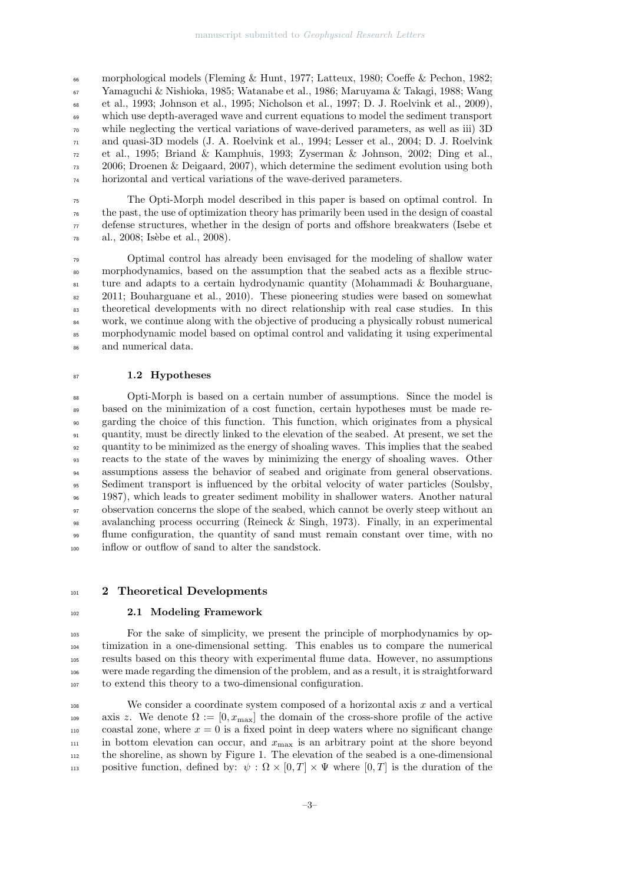morphological models (Fleming & Hunt, 1977; Latteux, 1980; Coeffe & Pechon, 1982; Yamaguchi & Nishioka, 1985; Watanabe et al., 1986; Maruyama & Takagi, 1988; Wang et al., 1993; Johnson et al., 1995; Nicholson et al., 1997; D. J. Roelvink et al., 2009), which use depth-averaged wave and current equations to model the sediment transport while neglecting the vertical variations of wave-derived parameters, as well as iii) 3D  $\pi$  and quasi-3D models (J. A. Roelvink et al., 1994; Lesser et al., 2004; D. J. Roelvink et al., 1995; Briand & Kamphuis, 1993; Zyserman & Johnson, 2002; Ding et al., 2006; Droenen & Deigaard, 2007), which determine the sediment evolution using both horizontal and vertical variations of the wave-derived parameters.

 The Opti-Morph model described in this paper is based on optimal control. In the past, the use of optimization theory has primarily been used in the design of coastal  $\pi$  defense structures, whether in the design of ports and offshore breakwaters (Isebe et al., 2008; Isèbe et al., 2008).

 Optimal control has already been envisaged for the modeling of shallow water morphodynamics, based on the assumption that the seabed acts as a flexible struc- ture and adapts to a certain hydrodynamic quantity (Mohammadi & Bouharguane, 2011; Bouharguane et al., 2010). These pioneering studies were based on somewhat theoretical developments with no direct relationship with real case studies. In this work, we continue along with the objective of producing a physically robust numerical morphodynamic model based on optimal control and validating it using experimental and numerical data.

#### 87 1.2 Hypotheses

 Opti-Morph is based on a certain number of assumptions. Since the model is based on the minimization of a cost function, certain hypotheses must be made re- garding the choice of this function. This function, which originates from a physical quantity, must be directly linked to the elevation of the seabed. At present, we set the quantity to be minimized as the energy of shoaling waves. This implies that the seabed reacts to the state of the waves by minimizing the energy of shoaling waves. Other assumptions assess the behavior of seabed and originate from general observations. Sediment transport is influenced by the orbital velocity of water particles (Soulsby, 1987), which leads to greater sediment mobility in shallower waters. Another natural observation concerns the slope of the seabed, which cannot be overly steep without an avalanching process occurring (Reineck & Singh, 1973). Finally, in an experimental flume configuration, the quantity of sand must remain constant over time, with no inflow or outflow of sand to alter the sandstock.

#### 101 2 Theoretical Developments

#### 2.1 Modeling Framework

 For the sake of simplicity, we present the principle of morphodynamics by op- timization in a one-dimensional setting. This enables us to compare the numerical results based on this theory with experimental flume data. However, no assumptions were made regarding the dimension of the problem, and as a result, it is straightforward to extend this theory to a two-dimensional configuration.

<sup>108</sup> We consider a coordinate system composed of a horizontal axis  $x$  and a vertical 109 axis z. We denote  $\Omega := [0, x_{\text{max}}]$  the domain of the cross-shore profile of the active coastal zone, where  $x = 0$  is a fixed point in deep waters where no significant change in bottom elevation can occur, and  $x_{\text{max}}$  is an arbitrary point at the shore beyond the shoreline, as shown by Figure 1. The elevation of the seabed is a one-dimensional 113 positive function, defined by:  $\psi : \Omega \times [0,T] \times \Psi$  where  $[0,T]$  is the duration of the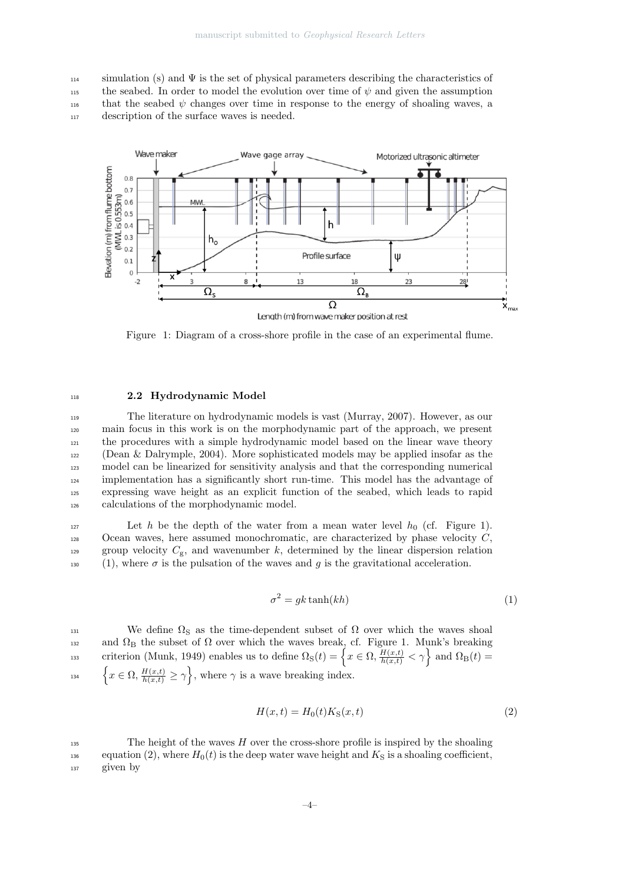$114$  simulation (s) and  $\Psi$  is the set of physical parameters describing the characteristics of 115 the seabed. In order to model the evolution over time of  $\psi$  and given the assumption that the seabed  $\psi$  changes over time in response to the energy of shoaling waves, a <sup>117</sup> description of the surface waves is needed.



Figure 1: Diagram of a cross-shore profile in the case of an experimental flume.

#### <sup>118</sup> 2.2 Hydrodynamic Model

 The literature on hydrodynamic models is vast (Murray, 2007). However, as our main focus in this work is on the morphodynamic part of the approach, we present the procedures with a simple hydrodynamic model based on the linear wave theory (Dean & Dalrymple, 2004). More sophisticated models may be applied insofar as the model can be linearized for sensitivity analysis and that the corresponding numerical implementation has a significantly short run-time. This model has the advantage of expressing wave height as an explicit function of the seabed, which leads to rapid calculations of the morphodynamic model.

127 Let h be the depth of the water from a mean water level  $h_0$  (cf. Figure 1).  $128$  Ocean waves, here assumed monochromatic, are characterized by phase velocity C, 129 group velocity  $C_g$ , and wavenumber k, determined by the linear dispersion relation 130 (1), where  $\sigma$  is the pulsation of the waves and g is the gravitational acceleration.

$$
\sigma^2 = gk \tanh(kh) \tag{1}
$$

131 We define  $\Omega$ <sub>S</sub> as the time-dependent subset of  $\Omega$  over which the waves shoal  $132$  and  $Ω<sub>B</sub>$  the subset of  $Ω$  over which the waves break, cf. Figure 1. Munk's breaking criterion (Munk, 1949) enables us to define  $\Omega_{\rm S}(t) = \left\{ x \in \Omega, \frac{H(x,t)}{h(x,t)} < \gamma \right\}$  and  $\Omega_{\rm B}(t) =$ <sup>134</sup>  $\left\{x \in \Omega, \frac{H(x,t)}{h(x,t)} \geq \gamma\right\}$ , where  $\gamma$  is a wave breaking index.

$$
H(x,t) = H_0(t)K_S(x,t)
$$
\n<sup>(2)</sup>

 $\frac{1}{135}$  The height of the waves H over the cross-shore profile is inspired by the shoaling 136 equation (2), where  $H_0(t)$  is the deep water wave height and  $K_S$  is a shoaling coefficient, <sup>137</sup> given by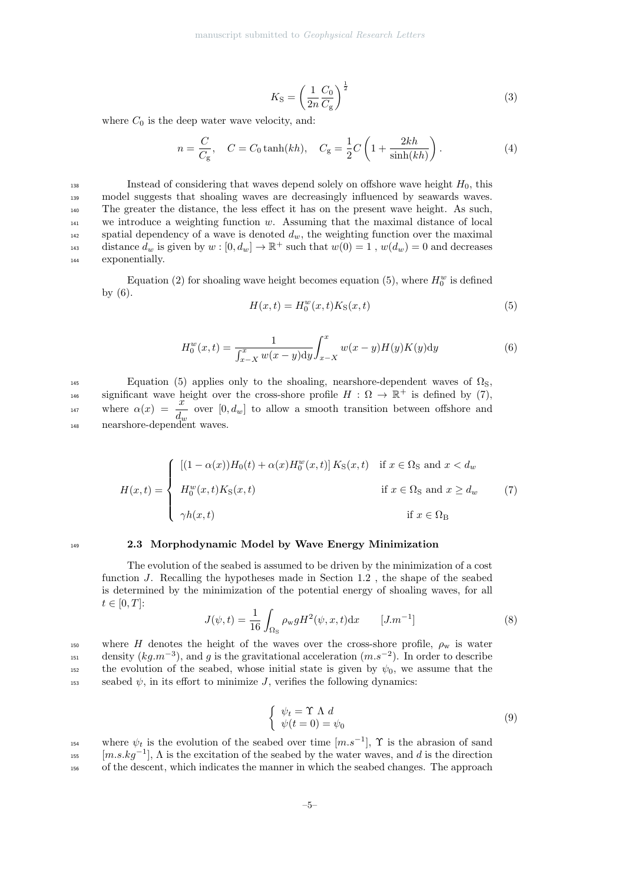$$
K_{\rm S} = \left(\frac{1}{2n}\frac{C_0}{C_{\rm g}}\right)^{\frac{1}{2}}\tag{3}
$$

where  $C_0$  is the deep water wave velocity, and:

$$
n = \frac{C}{C_{\rm g}}, \quad C = C_0 \tanh(kh), \quad C_{\rm g} = \frac{1}{2}C\left(1 + \frac{2kh}{\sinh(kh)}\right). \tag{4}
$$

138 Instead of considering that waves depend solely on offshore wave height  $H_0$ , this <sup>139</sup> model suggests that shoaling waves are decreasingly influenced by seawards waves. <sup>140</sup> The greater the distance, the less effect it has on the present wave height. As such,  $141$  we introduce a weighting function w. Assuming that the maximal distance of local 142 spatial dependency of a wave is denoted  $d_w$ , the weighting function over the maximal distance  $d_w$  is given by  $w : [0, d_w] \to \mathbb{R}^+$  such that  $w(0) = 1$ ,  $w(d_w) = 0$  and decreases <sup>144</sup> exponentially.

Equation (2) for shoaling wave height becomes equation (5), where  $H_0^w$  is defined by (6).

$$
H(x,t) = H_0^w(x,t)K_S(x,t)
$$
\n(5)

$$
H_0^w(x,t) = \frac{1}{\int_{x-X}^x w(x-y) dy} \int_{x-X}^x w(x-y) H(y) K(y) dy
$$
 (6)

 $E$ <sub>145</sub> Equation (5) applies only to the shoaling, nearshore-dependent waves of  $Ω<sub>S</sub>$ , significant wave height over the cross-shore profile  $H : \Omega \to \mathbb{R}^+$  is defined by (7), where  $\alpha(x) = \frac{x}{d_w}$  over  $[0, d_w]$  to allow a smooth transition between offshore and 148 nearshore-dependent waves.

$$
H(x,t) = \begin{cases} \left[ (1 - \alpha(x))H_0(t) + \alpha(x)H_0^w(x,t) \right] K_{\rm S}(x,t) & \text{if } x \in \Omega_{\rm S} \text{ and } x < d_w \\ H_0^w(x,t)K_{\rm S}(x,t) & \text{if } x \in \Omega_{\rm S} \text{ and } x \ge d_w \\ \gamma h(x,t) & \text{if } x \in \Omega_{\rm B} \end{cases} \tag{7}
$$

#### <sup>149</sup> 2.3 Morphodynamic Model by Wave Energy Minimization

The evolution of the seabed is assumed to be driven by the minimization of a cost function J. Recalling the hypotheses made in Section 1.2 , the shape of the seabed is determined by the minimization of the potential energy of shoaling waves, for all  $t \in [0, T]$ :

$$
J(\psi, t) = \frac{1}{16} \int_{\Omega_{\rm S}} \rho_{\rm w} g H^2(\psi, x, t) \mathrm{d}x \qquad [J.m^{-1}]
$$
 (8)

150 where H denotes the height of the waves over the cross-shore profile,  $\rho_w$  is water  $d_{151}$  density  $(kg.m^{-3})$ , and g is the gravitational acceleration  $(m.s^{-2})$ . In order to describe 152 the evolution of the seabed, whose initial state is given by  $\psi_0$ , we assume that the 153 seabed  $\psi$ , in its effort to minimize J, verifies the following dynamics:

$$
\begin{cases} \psi_t = \Upsilon \Lambda \, d \\ \psi(t = 0) = \psi_0 \end{cases} \tag{9}
$$

where  $\psi_t$  is the evolution of the seabed over time  $[m.s^{-1}]$ ,  $\Upsilon$  is the abrasion of sand  $[m.s.kg^{-1}]$ ,  $\Lambda$  is the excitation of the seabed by the water waves, and d is the direction <sup>156</sup> of the descent, which indicates the manner in which the seabed changes. The approach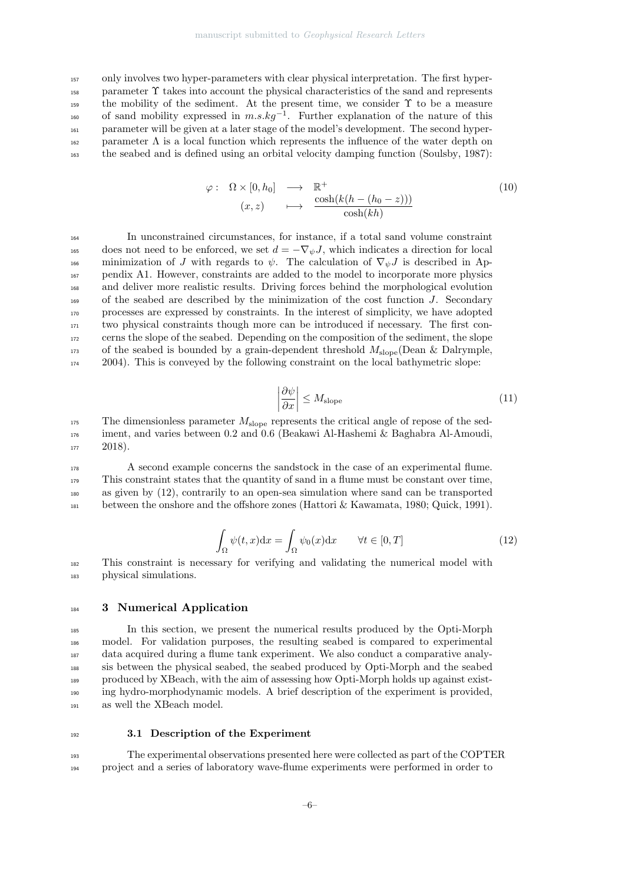only involves two hyper-parameters with clear physical interpretation. The first hyper- parameter Υ takes into account the physical characteristics of the sand and represents the mobility of the sediment. At the present time, we consider  $\Upsilon$  to be a measure <sup>160</sup> of sand mobility expressed in  $m.s.kg^{-1}$ . Further explanation of the nature of this parameter will be given at a later stage of the model's development. The second hyper- parameter  $\Lambda$  is a local function which represents the influence of the water depth on the seabed and is defined using an orbital velocity damping function (Soulsby, 1987):

$$
\varphi: \quad \Omega \times [0, h_0] \quad \longrightarrow \quad \mathbb{R}^+ \quad (10)
$$
\n
$$
(x, z) \quad \longmapsto \quad \frac{\cosh(k(h - (h_0 - z)))}{\cosh(kh)}
$$

 In unconstrained circumstances, for instance, if a total sand volume constraint 165 does not need to be enforced, we set  $d = -\nabla_{\psi} J$ , which indicates a direction for local 166 minimization of J with regards to  $\psi$ . The calculation of  $\nabla_{\psi}J$  is described in Ap- pendix A1. However, constraints are added to the model to incorporate more physics and deliver more realistic results. Driving forces behind the morphological evolution of the seabed are described by the minimization of the cost function J. Secondary processes are expressed by constraints. In the interest of simplicity, we have adopted two physical constraints though more can be introduced if necessary. The first con- cerns the slope of the seabed. Depending on the composition of the sediment, the slope of the seabed is bounded by a grain-dependent threshold  $M_{\text{slope}}$  (Dean & Dalrymple, 2004). This is conveyed by the following constraint on the local bathymetric slope:

$$
\left|\frac{\partial\psi}{\partial x}\right| \le M_{\text{slope}}\tag{11}
$$

 $175$  The dimensionless parameter  $M_{\text{slope}}$  represents the critical angle of repose of the sed-<sup>176</sup> iment, and varies between 0.2 and 0.6 (Beakawi Al-Hashemi & Baghabra Al-Amoudi,  $177$  2018).

 A second example concerns the sandstock in the case of an experimental flume. This constraint states that the quantity of sand in a flume must be constant over time, as given by (12), contrarily to an open-sea simulation where sand can be transported 181 between the onshore and the offshore zones (Hattori & Kawamata, 1980; Quick, 1991).

$$
\int_{\Omega} \psi(t, x) dx = \int_{\Omega} \psi_0(x) dx \qquad \forall t \in [0, T]
$$
\n(12)

<sup>182</sup> This constraint is necessary for verifying and validating the numerical model with <sup>183</sup> physical simulations.

#### 184 3 Numerical Application

 In this section, we present the numerical results produced by the Opti-Morph model. For validation purposes, the resulting seabed is compared to experimental data acquired during a flume tank experiment. We also conduct a comparative analy- sis between the physical seabed, the seabed produced by Opti-Morph and the seabed produced by XBeach, with the aim of assessing how Opti-Morph holds up against exist- ing hydro-morphodynamic models. A brief description of the experiment is provided, as well the XBeach model.

#### <sup>192</sup> 3.1 Description of the Experiment

<sup>193</sup> The experimental observations presented here were collected as part of the COPTER <sup>194</sup> project and a series of laboratory wave-flume experiments were performed in order to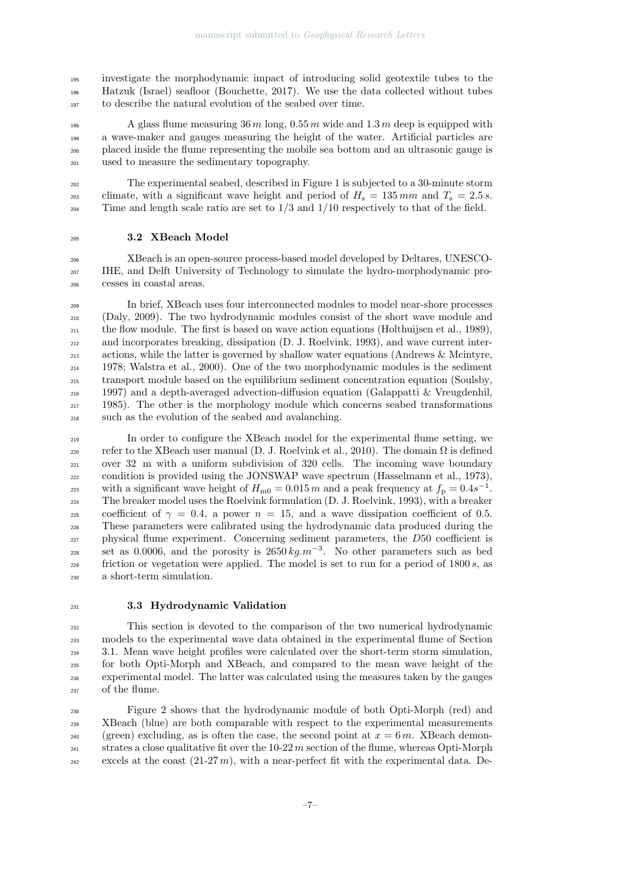investigate the morphodynamic impact of introducing solid geotextile tubes to the Hatzuk (Israel) seafloor (Bouchette, 2017). We use the data collected without tubes to describe the natural evolution of the seabed over time.

<sup>198</sup> A glass flume measuring  $36 m \log_2 0.55 m$  wide and  $1.3 m$  deep is equipped with a wave-maker and gauges measuring the height of the water. Artificial particles are placed inside the flume representing the mobile sea bottom and an ultrasonic gauge is used to measure the sedimentary topography.

 The experimental seabed, described in Figure 1 is subjected to a 30-minute storm climate, with a significant wave height and period of  $H_s = 135$  mm and  $T_s = 2.5$  s.  $_{204}$  Time and length scale ratio are set to  $1/3$  and  $1/10$  respectively to that of the field.

#### 3.2 XBeach Model

 XBeach is an open-source process-based model developed by Deltares, UNESCO- IHE, and Delft University of Technology to simulate the hydro-morphodynamic pro-cesses in coastal areas.

 In brief, XBeach uses four interconnected modules to model near-shore processes (Daly, 2009). The two hydrodynamic modules consist of the short wave module and <sup>211</sup> the flow module. The first is based on wave action equations (Holthuijsen et al., 1989), and incorporates breaking, dissipation (D. J. Roelvink, 1993), and wave current inter- actions, while the latter is governed by shallow water equations (Andrews & Mcintyre, 1978; Walstra et al., 2000). One of the two morphodynamic modules is the sediment transport module based on the equilibrium sediment concentration equation (Soulsby, 1997) and a depth-averaged advection-diffusion equation (Galappatti & Vreugdenhil, 1985). The other is the morphology module which concerns seabed transformations such as the evolution of the seabed and avalanching.

 In order to configure the XBeach model for the experimental flume setting, we refer to the XBeach user manual (D. J. Roelvink et al., 2010). The domain  $Ω$  is defined over 32 m with a uniform subdivision of 320 cells. The incoming wave boundary condition is provided using the JONSWAP wave spectrum (Hasselmann et al., 1973), with a significant wave height of  $H_{\text{m0}} = 0.015 m$  and a peak frequency at  $f_{\text{p}} = 0.4 s^{-1}$ . The breaker model uses the Roelvink formulation (D. J. Roelvink, 1993), with a breaker 225 coefficient of  $\gamma = 0.4$ , a power  $n = 15$ , and a wave dissipation coefficient of 0.5. These parameters were calibrated using the hydrodynamic data produced during the physical flume experiment. Concerning sediment parameters, the D50 coefficient is set as 0.0006, and the porosity is  $2650 \ kg.m^{-3}$ . No other parameters such as bed friction or vegetation were applied. The model is set to run for a period of  $1800 s$ , as a short-term simulation.

#### 3.3 Hydrodynamic Validation

 This section is devoted to the comparison of the two numerical hydrodynamic models to the experimental wave data obtained in the experimental flume of Section 3.1. Mean wave height profiles were calculated over the short-term storm simulation, for both Opti-Morph and XBeach, and compared to the mean wave height of the experimental model. The latter was calculated using the measures taken by the gauges of the flume.

 Figure 2 shows that the hydrodynamic module of both Opti-Morph (red) and 239 XBeach (blue) are both comparable with respect to the experimental measurements (green) excluding, as is often the case, the second point at  $x = 6m$ . XBeach demon- strates a close qualitative fit over the 10-22 m section of the flume, whereas Opti-Morph excels at the coast  $(21-27 m)$ , with a near-perfect fit with the experimental data. De-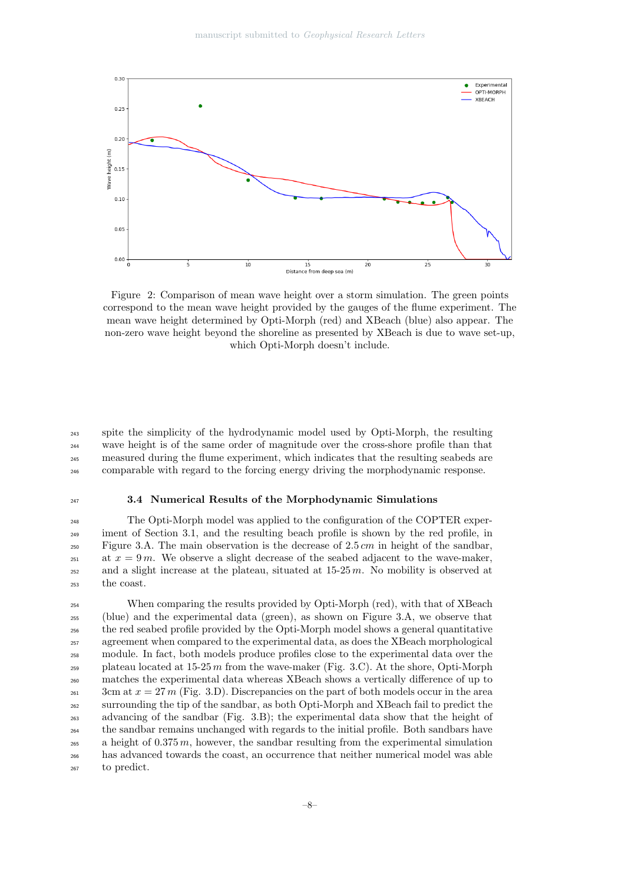

Figure 2: Comparison of mean wave height over a storm simulation. The green points correspond to the mean wave height provided by the gauges of the flume experiment. The mean wave height determined by Opti-Morph (red) and XBeach (blue) also appear. The non-zero wave height beyond the shoreline as presented by XBeach is due to wave set-up, which Opti-Morph doesn't include.

 spite the simplicity of the hydrodynamic model used by Opti-Morph, the resulting wave height is of the same order of magnitude over the cross-shore profile than that measured during the flume experiment, which indicates that the resulting seabeds are comparable with regard to the forcing energy driving the morphodynamic response.

#### 3.4 Numerical Results of the Morphodynamic Simulations

 The Opti-Morph model was applied to the configuration of the COPTER exper-<sup>249</sup> iment of Section 3.1, and the resulting beach profile is shown by the red profile, in  $F_{250}$  Figure 3.A. The main observation is the decrease of 2.5 cm in height of the sandbar, 251 at  $x = 9m$ . We observe a slight decrease of the seabed adjacent to the wave-maker,  $_{252}$  and a slight increase at the plateau, situated at  $15-25$  m. No mobility is observed at the coast.

 When comparing the results provided by Opti-Morph (red), with that of XBeach (blue) and the experimental data (green), as shown on Figure 3.A, we observe that the red seabed profile provided by the Opti-Morph model shows a general quantitative agreement when compared to the experimental data, as does the XBeach morphological module. In fact, both models produce profiles close to the experimental data over the 259 plateau located at  $15-25 \, m$  from the wave-maker (Fig. 3.C). At the shore, Opti-Morph matches the experimental data whereas XBeach shows a vertically difference of up to 3cm at  $x = 27$  m (Fig. 3.D). Discrepancies on the part of both models occur in the area surrounding the tip of the sandbar, as both Opti-Morph and XBeach fail to predict the advancing of the sandbar (Fig. 3.B); the experimental data show that the height of the sandbar remains unchanged with regards to the initial profile. Both sandbars have a height of 0.375 m, however, the sandbar resulting from the experimental simulation has advanced towards the coast, an occurrence that neither numerical model was able to predict.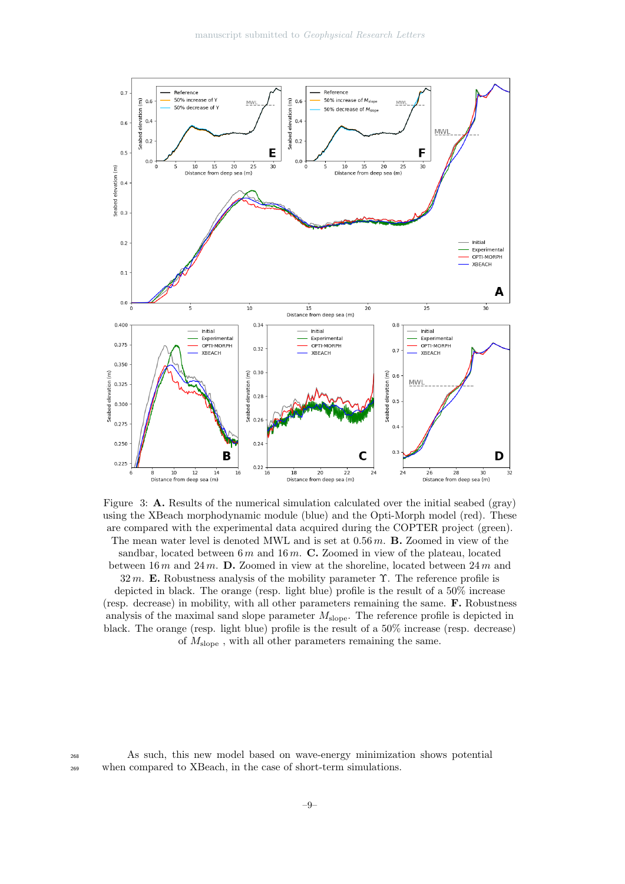

Figure 3: A. Results of the numerical simulation calculated over the initial seabed (gray) using the XBeach morphodynamic module (blue) and the Opti-Morph model (red). These are compared with the experimental data acquired during the COPTER project (green).

The mean water level is denoted MWL and is set at  $0.56 m$ . **B.** Zoomed in view of the sandbar, located between 6 m and 16 m. C. Zoomed in view of the plateau, located between 16 m and 24 m. D. Zoomed in view at the shoreline, located between  $24 m$  and

32 m. E. Robustness analysis of the mobility parameter  $\Upsilon$ . The reference profile is depicted in black. The orange (resp. light blue) profile is the result of a 50% increase (resp. decrease) in mobility, with all other parameters remaining the same. F. Robustness analysis of the maximal sand slope parameter  $M_{\text{slope}}$ . The reference profile is depicted in black. The orange (resp. light blue) profile is the result of a 50% increase (resp. decrease) of  $M_{\text{slope}}$ , with all other parameters remaining the same.

<sup>268</sup> As such, this new model based on wave-energy minimization shows potential <sup>269</sup> when compared to XBeach, in the case of short-term simulations.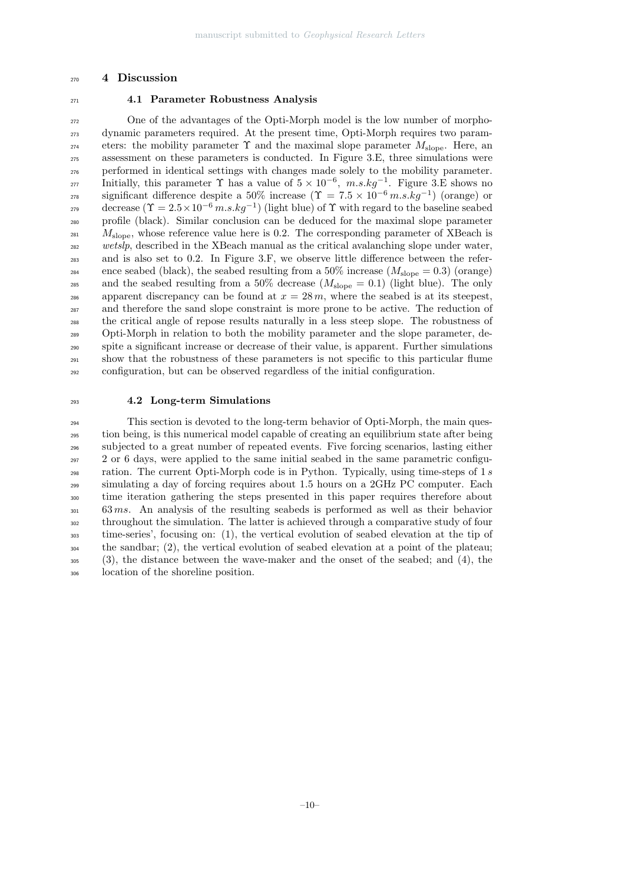#### 4 Discussion

### 4.1 Parameter Robustness Analysis

 One of the advantages of the Opti-Morph model is the low number of morpho- dynamic parameters required. At the present time, Opti-Morph requires two parameters: the mobility parameter  $\Upsilon$  and the maximal slope parameter  $M_{\text{slope}}$ . Here, an assessment on these parameters is conducted. In Figure 3.E, three simulations were performed in identical settings with changes made solely to the mobility parameter. 277 Initially, this parameter  $\Upsilon$  has a value of  $5 \times 10^{-6}$ ,  $m.s.kg^{-1}$ . Figure 3.E shows no significant difference despite a 50% increase  $(\Upsilon = 7.5 \times 10^{-6} \, m.s.kg^{-1})$  (orange) or decrease  $(\Upsilon = 2.5 \times 10^{-6} \, m.s. kg^{-1})$  (light blue) of  $\Upsilon$  with regard to the baseline seabed profile (black). Similar conclusion can be deduced for the maximal slope parameter  $M_{\rm slope}$ , whose reference value here is 0.2. The corresponding parameter of XBeach is <sup>282</sup> wetslp, described in the XBeach manual as the critical avalanching slope under water, and is also set to 0.2. In Figure 3.F, we observe little difference between the refer-<sub>284</sub> ence seabed (black), the seabed resulting from a 50% increase  $(M_{\rm slope} = 0.3)$  (orange) 285 and the seabed resulting from a 50% decrease  $(M_{\text{slope}} = 0.1)$  (light blue). The only 286 apparent discrepancy can be found at  $x = 28 m$ , where the seabed is at its steepest, and therefore the sand slope constraint is more prone to be active. The reduction of the critical angle of repose results naturally in a less steep slope. The robustness of Opti-Morph in relation to both the mobility parameter and the slope parameter, de- spite a significant increase or decrease of their value, is apparent. Further simulations show that the robustness of these parameters is not specific to this particular flume configuration, but can be observed regardless of the initial configuration.

#### 4.2 Long-term Simulations

 This section is devoted to the long-term behavior of Opti-Morph, the main ques- tion being, is this numerical model capable of creating an equilibrium state after being subjected to a great number of repeated events. Five forcing scenarios, lasting either 2 or 6 days, were applied to the same initial seabed in the same parametric configu- ration. The current Opti-Morph code is in Python. Typically, using time-steps of 1 s simulating a day of forcing requires about 1.5 hours on a 2GHz PC computer. Each time iteration gathering the steps presented in this paper requires therefore about 63 ms. An analysis of the resulting seabeds is performed as well as their behavior throughout the simulation. The latter is achieved through a comparative study of four time-series', focusing on: (1), the vertical evolution of seabed elevation at the tip of the sandbar; (2), the vertical evolution of seabed elevation at a point of the plateau; (3), the distance between the wave-maker and the onset of the seabed; and (4), the location of the shoreline position.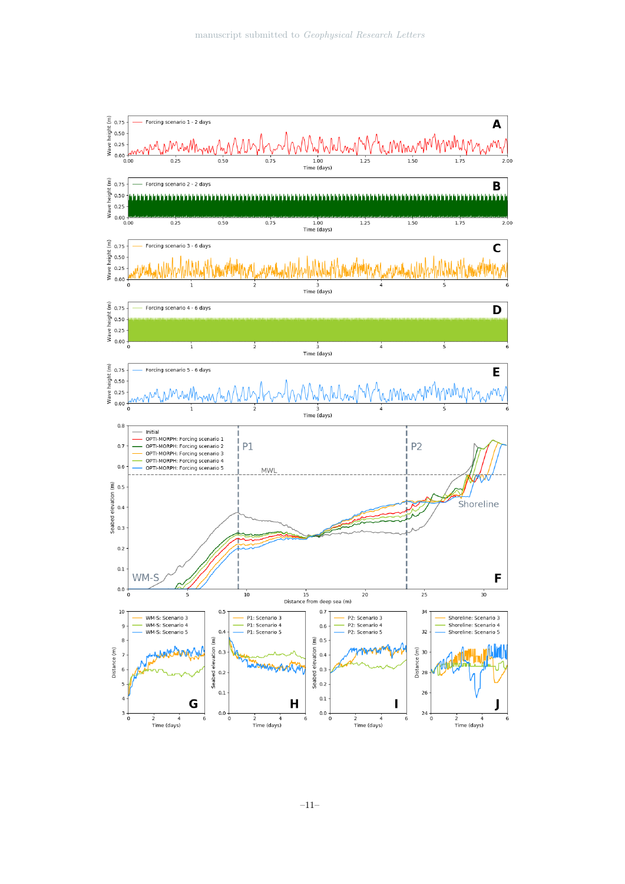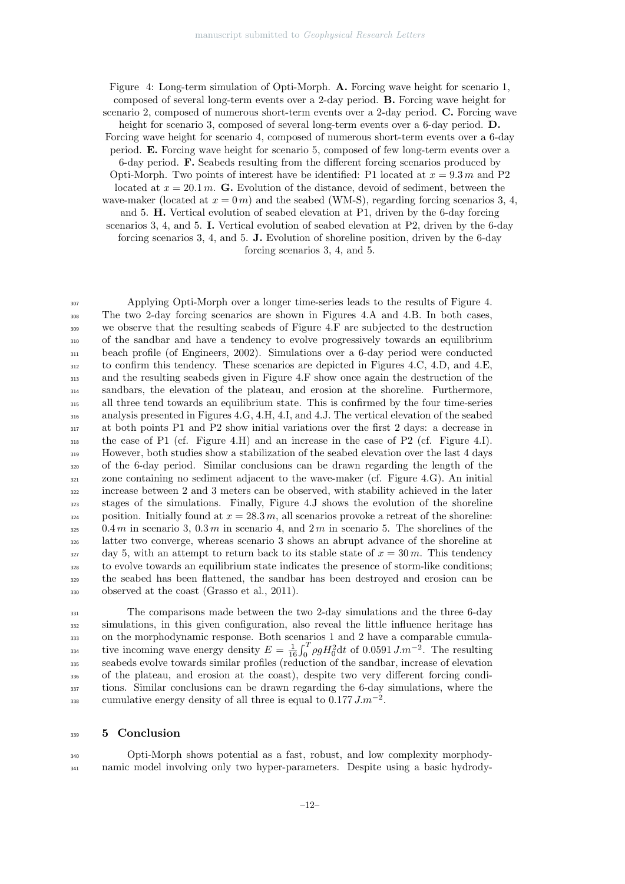Figure 4: Long-term simulation of Opti-Morph. A. Forcing wave height for scenario 1, composed of several long-term events over a 2-day period. B. Forcing wave height for scenario 2, composed of numerous short-term events over a 2-day period. C. Forcing wave

height for scenario 3, composed of several long-term events over a 6-day period. **D.** 

Forcing wave height for scenario 4, composed of numerous short-term events over a 6-day period. E. Forcing wave height for scenario 5, composed of few long-term events over a

6-day period. F. Seabeds resulting from the different forcing scenarios produced by

Opti-Morph. Two points of interest have be identified: P1 located at  $x = 9.3 m$  and P2

located at  $x = 20.1 \, \text{m}$ . G. Evolution of the distance, devoid of sediment, between the wave-maker (located at  $x = 0$  m) and the seabed (WM-S), regarding forcing scenarios 3, 4,

and 5. H. Vertical evolution of seabed elevation at P1, driven by the 6-day forcing

scenarios 3, 4, and 5. I. Vertical evolution of seabed elevation at P2, driven by the 6-day

forcing scenarios 3, 4, and 5. J. Evolution of shoreline position, driven by the 6-day

forcing scenarios 3, 4, and 5.

 Applying Opti-Morph over a longer time-series leads to the results of Figure 4. The two 2-day forcing scenarios are shown in Figures 4.A and 4.B. In both cases, we observe that the resulting seabeds of Figure 4.F are subjected to the destruction of the sandbar and have a tendency to evolve progressively towards an equilibrium beach profile (of Engineers, 2002). Simulations over a 6-day period were conducted to confirm this tendency. These scenarios are depicted in Figures 4.C, 4.D, and 4.E, and the resulting seabeds given in Figure 4.F show once again the destruction of the sandbars, the elevation of the plateau, and erosion at the shoreline. Furthermore, all three tend towards an equilibrium state. This is confirmed by the four time-series analysis presented in Figures 4.G, 4.H, 4.I, and 4.J. The vertical elevation of the seabed at both points P1 and P2 show initial variations over the first 2 days: a decrease in the case of P1 (cf. Figure 4.H) and an increase in the case of P2 (cf. Figure 4.I). However, both studies show a stabilization of the seabed elevation over the last 4 days of the 6-day period. Similar conclusions can be drawn regarding the length of the zone containing no sediment adjacent to the wave-maker (cf. Figure 4.G). An initial increase between 2 and 3 meters can be observed, with stability achieved in the later stages of the simulations. Finally, Figure 4.J shows the evolution of the shoreline 324 position. Initially found at  $x = 28.3 m$ , all scenarios provoke a retreat of the shoreline: 0.4 m in scenario 3, 0.3 m in scenario 4, and 2 m in scenario 5. The shorelines of the latter two converge, whereas scenario 3 shows an abrupt advance of the shoreline at day 5, with an attempt to return back to its stable state of  $x = 30 m$ . This tendency to evolve towards an equilibrium state indicates the presence of storm-like conditions; the seabed has been flattened, the sandbar has been destroyed and erosion can be observed at the coast (Grasso et al., 2011).

 The comparisons made between the two 2-day simulations and the three 6-day simulations, in this given configuration, also reveal the little influence heritage has on the morphodynamic response. Both scenarios 1 and 2 have a comparable cumulative incoming wave energy density  $E = \frac{1}{16} \int_0^T \rho g H_0^2 dt$  of 0.0591  $J.m^{-2}$ . The resulting seabeds evolve towards similar profiles (reduction of the sandbar, increase of elevation of the plateau, and erosion at the coast), despite two very different forcing condi- tions. Similar conclusions can be drawn regarding the 6-day simulations, where the cumulative energy density of all three is equal to  $0.177 J.m^{-2}$ .

#### 5 Conclusion

 Opti-Morph shows potential as a fast, robust, and low complexity morphody-namic model involving only two hyper-parameters. Despite using a basic hydrody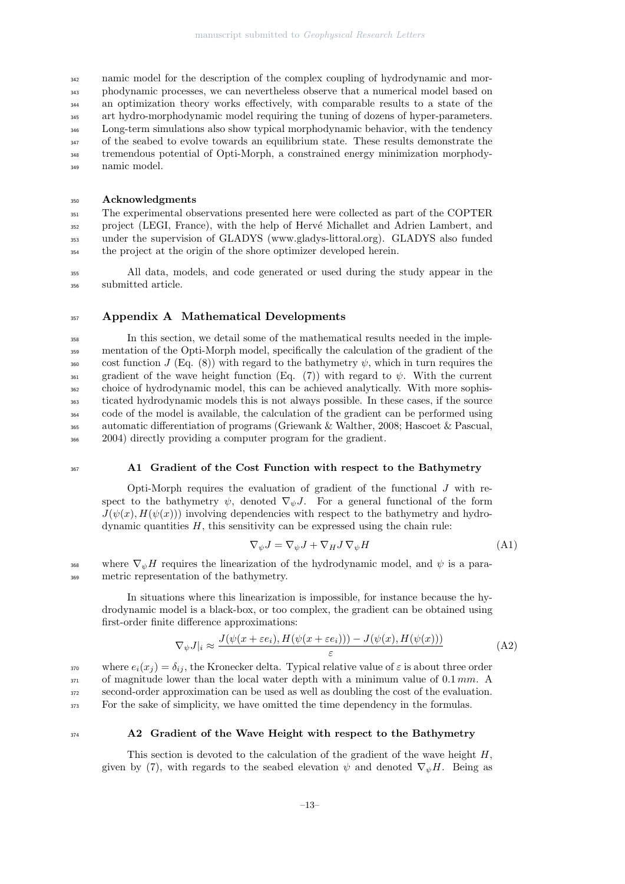namic model for the description of the complex coupling of hydrodynamic and mor- phodynamic processes, we can nevertheless observe that a numerical model based on an optimization theory works effectively, with comparable results to a state of the art hydro-morphodynamic model requiring the tuning of dozens of hyper-parameters. <sup>346</sup> Long-term simulations also show typical morphodynamic behavior, with the tendency <sup>347</sup> of the seabed to evolve towards an equilibrium state. These results demonstrate the tremendous potential of Opti-Morph, a constrained energy minimization morphody-namic model.

#### <sup>350</sup> Acknowledgments

 The experimental observations presented here were collected as part of the COPTER <sub>352</sub> project (LEGI, France), with the help of Hervé Michallet and Adrien Lambert, and under the supervision of GLADYS (www.gladys-littoral.org). GLADYS also funded the project at the origin of the shore optimizer developed herein.

<sup>355</sup> All data, models, and code generated or used during the study appear in the <sup>356</sup> submitted article.

### 357 Appendix A Mathematical Developments

 In this section, we detail some of the mathematical results needed in the imple- mentation of the Opti-Morph model, specifically the calculation of the gradient of the cost function J (Eq. (8)) with regard to the bathymetry  $\psi$ , which in turn requires the 361 gradient of the wave height function (Eq. (7)) with regard to  $\psi$ . With the current choice of hydrodynamic model, this can be achieved analytically. With more sophis- ticated hydrodynamic models this is not always possible. In these cases, if the source code of the model is available, the calculation of the gradient can be performed using automatic differentiation of programs (Griewank & Walther, 2008; Hascoet & Pascual, 2004) directly providing a computer program for the gradient.

#### <sup>367</sup> A1 Gradient of the Cost Function with respect to the Bathymetry

Opti-Morph requires the evaluation of gradient of the functional  $J$  with respect to the bathymetry  $\psi$ , denoted  $\nabla_{\psi} J$ . For a general functional of the form  $J(\psi(x), H(\psi(x)))$  involving dependencies with respect to the bathymetry and hydrodynamic quantities  $H$ , this sensitivity can be expressed using the chain rule:

$$
\nabla_{\psi} J = \nabla_{\psi} J + \nabla_{H} J \nabla_{\psi} H \tag{A1}
$$

368 where  $\nabla_{\psi}H$  requires the linearization of the hydrodynamic model, and  $\psi$  is a para-<sup>369</sup> metric representation of the bathymetry.

In situations where this linearization is impossible, for instance because the hydrodynamic model is a black-box, or too complex, the gradient can be obtained using first-order finite difference approximations:

$$
\nabla_{\psi} J|_{i} \approx \frac{J(\psi(x + \varepsilon e_{i}), H(\psi(x + \varepsilon e_{i}))) - J(\psi(x), H(\psi(x)))}{\varepsilon}
$$
(A2)

370 where  $e_i(x_i) = \delta_{ij}$ , the Kronecker delta. Typical relative value of  $\varepsilon$  is about three order of magnitude lower than the local water depth with a minimum value of 0.1 mm. A second-order approximation can be used as well as doubling the cost of the evaluation. For the sake of simplicity, we have omitted the time dependency in the formulas.

#### <sup>374</sup> A2 Gradient of the Wave Height with respect to the Bathymetry

This section is devoted to the calculation of the gradient of the wave height  $H$ , given by (7), with regards to the seabed elevation  $\psi$  and denoted  $\nabla_{\psi}H$ . Being as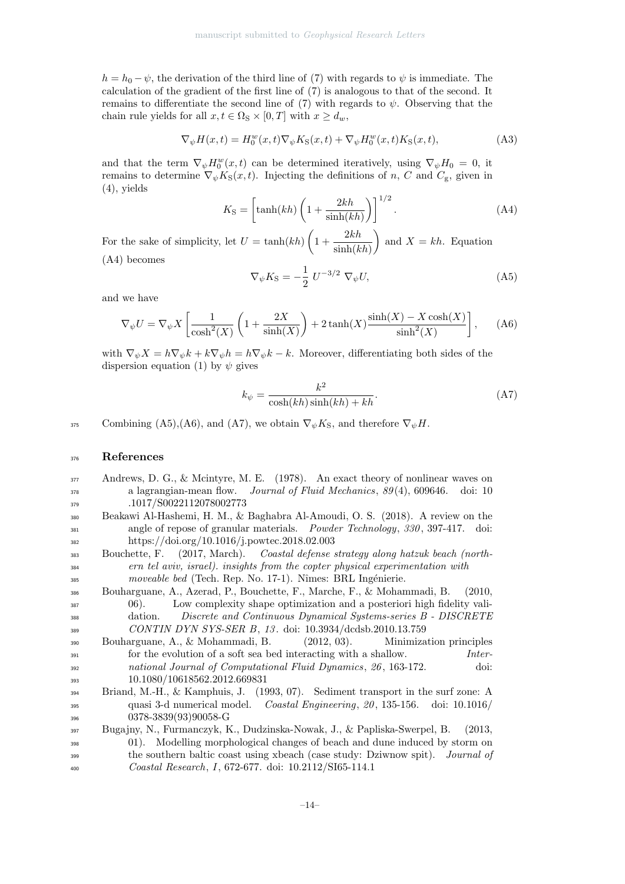$h = h_0 - \psi$ , the derivation of the third line of (7) with regards to  $\psi$  is immediate. The calculation of the gradient of the first line of (7) is analogous to that of the second. It remains to differentiate the second line of (7) with regards to  $\psi$ . Observing that the chain rule yields for all  $x, t \in \Omega$ <sub>S</sub> × [0, T] with  $x \ge d_w$ ,

$$
\nabla_{\psi} H(x,t) = H_0^w(x,t) \nabla_{\psi} K_{\mathcal{S}}(x,t) + \nabla_{\psi} H_0^w(x,t) K_{\mathcal{S}}(x,t), \tag{A3}
$$

and that the term  $\nabla_{\psi} H_0^w(x,t)$  can be determined iteratively, using  $\nabla_{\psi} H_0 = 0$ , it remains to determine  $\nabla_{\psi} K_{S}(x, t)$ . Injecting the definitions of n, C and  $C_{g}$ , given in (4), yields

$$
K_{\rm S} = \left[ \tanh(kh) \left( 1 + \frac{2kh}{\sinh(kh)} \right) \right]^{1/2} . \tag{A4}
$$

For the sake of simplicity, let  $U = \tanh(kh) \left(1 + \frac{2kh}{\cdot 1 + k} \right)$  $\sinh(kh)$ ) and  $X = kh$ . Equation (A4) becomes

$$
\nabla_{\psi} K_{\mathcal{S}} = -\frac{1}{2} U^{-3/2} \nabla_{\psi} U, \tag{A5}
$$

and we have

$$
\nabla_{\psi} U = \nabla_{\psi} X \left[ \frac{1}{\cosh^2(X)} \left( 1 + \frac{2X}{\sinh(X)} \right) + 2 \tanh(X) \frac{\sinh(X) - X \cosh(X)}{\sinh^2(X)} \right], \quad (A6)
$$

with  $\nabla_{\psi}X = h\nabla_{\psi}k + k\nabla_{\psi}h = h\nabla_{\psi}k - k$ . Moreover, differentiating both sides of the dispersion equation (1) by  $\psi$  gives

$$
k_{\psi} = \frac{k^2}{\cosh(kh)\sinh(kh) + kh}.
$$
 (A7)

375 Combining (A5),(A6), and (A7), we obtain  $\nabla_{\psi} K_S$ , and therefore  $\nabla_{\psi} H$ .

#### <sup>376</sup> References

- <sup>377</sup> Andrews, D. G., & Mcintyre, M. E. (1978). An exact theory of nonlinear waves on  $\alpha$  a lagrangian-mean flow. *Journal of Fluid Mechanics*,  $89(4)$ , 609646. doi: 10 <sup>379</sup> .1017/S0022112078002773
- <sup>380</sup> Beakawi Al-Hashemi, H. M., & Baghabra Al-Amoudi, O. S. (2018). A review on the <sup>381</sup> angle of repose of granular materials. *Powder Technology*, 330, 397-417. doi: <sup>382</sup> https://doi.org/10.1016/j.powtec.2018.02.003
- <sup>383</sup> Bouchette, F. (2017, March). Coastal defense strategy along hatzuk beach (north-<sup>384</sup> ern tel aviv, israel). insights from the copter physical experimentation with 385 moveable bed (Tech. Rep. No. 17-1). Nîmes: BRL Ingénierie.
- <sup>386</sup> Bouharguane, A., Azerad, P., Bouchette, F., Marche, F., & Mohammadi, B. (2010, <sup>387</sup> 06). Low complexity shape optimization and a posteriori high fidelity vali-<sup>388</sup> dation. *Discrete and Continuous Dynamical Systems-series B - DISCRETE* <sup>389</sup> CONTIN DYN SYS-SER B, 13 . doi: 10.3934/dcdsb.2010.13.759
- <sup>390</sup> Bouharguane, A., & Mohammadi, B. (2012, 03). Minimization principles  $\frac{391}{2}$  for the evolution of a soft sea bed interacting with a shallow. *Inter-*<sup>392</sup> national Journal of Computational Fluid Dynamics, 26 , 163-172. doi: <sup>393</sup> 10.1080/10618562.2012.669831
- <sup>394</sup> Briand, M.-H., & Kamphuis, J. (1993, 07). Sediment transport in the surf zone: A <sup>395</sup> quasi 3-d numerical model. Coastal Engineering, 20 , 135-156. doi: 10.1016/ <sup>396</sup> 0378-3839(93)90058-G

<sup>397</sup> Bugajny, N., Furmanczyk, K., Dudzinska-Nowak, J., & Papliska-Swerpel, B. (2013, <sup>398</sup> 01). Modelling morphological changes of beach and dune induced by storm on <sup>399</sup> the southern baltic coast using xbeach (case study: Dziwnow spit). Journal of <sup>400</sup> Coastal Research, I, 672-677. doi: 10.2112/SI65-114.1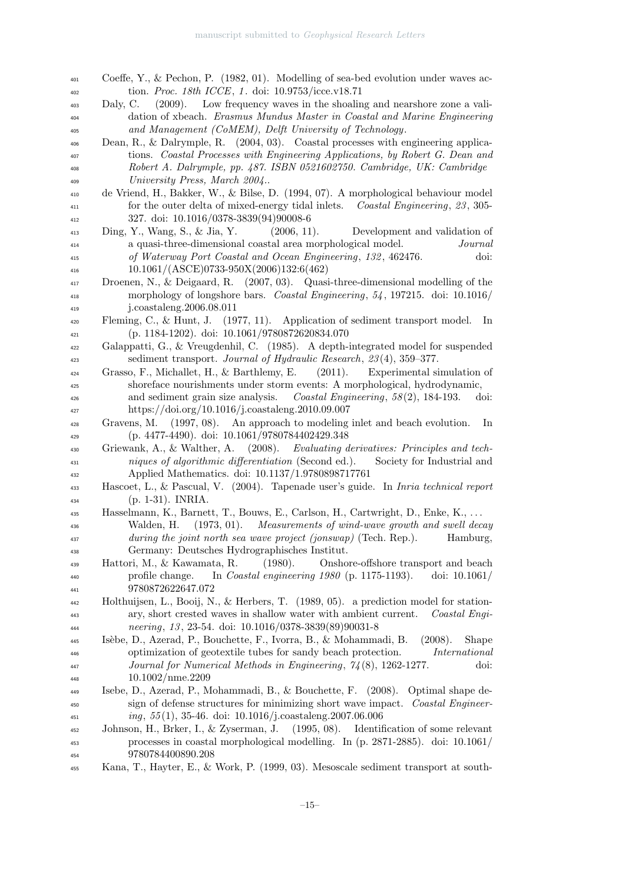- Coeffe, Y., & Pechon, P. (1982, 01). Modelling of sea-bed evolution under waves ac- tion. Proc. 18th ICCE, 1 . doi: 10.9753/icce.v18.71 Daly, C. (2009). Low frequency waves in the shoaling and nearshore zone a vali- dation of xbeach. Erasmus Mundus Master in Coastal and Marine Engineering and Management (CoMEM), Delft University of Technology. Dean, R., & Dalrymple, R. (2004, 03). Coastal processes with engineering applica- tions. Coastal Processes with Engineering Applications, by Robert G. Dean and Robert A. Dalrymple, pp. 487. ISBN 0521602750. Cambridge, UK: Cambridge University Press, March 2004.. de Vriend, H., Bakker, W., & Bilse, D. (1994, 07). A morphological behaviour model <sup>411</sup> for the outer delta of mixed-energy tidal inlets. Coastal Engineering, 23, 305- 327. doi: 10.1016/0378-3839(94)90008-6 Ding, Y., Wang, S., & Jia, Y. (2006, 11). Development and validation of <sup>414</sup> a quasi-three-dimensional coastal area morphological model. *Journal*  of Waterway Port Coastal and Ocean Engineering, 132 , 462476. doi: 10.1061/(ASCE)0733-950X(2006)132:6(462) Droenen, N., & Deigaard, R. (2007, 03). Quasi-three-dimensional modelling of the morphology of longshore bars. Coastal Engineering, 54 , 197215. doi: 10.1016/ j.coastaleng.2006.08.011 Fleming, C., & Hunt, J. (1977, 11). Application of sediment transport model. In (p. 1184-1202). doi: 10.1061/9780872620834.070 Galappatti, G., & Vreugdenhil, C. (1985). A depth-integrated model for suspended <sup>423</sup> sediment transport. *Journal of Hydraulic Research*, 23(4), 359–377. Grasso, F., Michallet, H., & Barthlemy, E. (2011). Experimental simulation of shoreface nourishments under storm events: A morphological, hydrodynamic, and sediment grain size analysis. Coastal Engineering, 58 (2), 184-193. doi: https://doi.org/10.1016/j.coastaleng.2010.09.007 Gravens, M. (1997, 08). An approach to modeling inlet and beach evolution. In (p. 4477-4490). doi: 10.1061/9780784402429.348 Griewank, A., & Walther, A. (2008). Evaluating derivatives: Principles and tech- niques of algorithmic differentiation (Second ed.). Society for Industrial and Applied Mathematics. doi: 10.1137/1.9780898717761 Hascoet, L., & Pascual, V. (2004). Tapenade user's guide. In Inria technical report  $_{434}$  (p. 1-31). INRIA. Hasselmann, K., Barnett, T., Bouws, E., Carlson, H., Cartwright, D., Enke, K., . . . Walden, H. (1973, 01). Measurements of wind-wave growth and swell decay during the joint north sea wave project (jonswap) (Tech. Rep.). Hamburg, Germany: Deutsches Hydrographisches Institut. Hattori, M., & Kawamata, R. (1980). Onshore-offshore transport and beach profile change. In Coastal engineering 1980 (p. 1175-1193). doi: 10.1061/ 9780872622647.072 Holthuijsen, L., Booij, N., & Herbers, T. (1989, 05). a prediction model for station- ary, short crested waves in shallow water with ambient current. Coastal Engi- neering, 13 , 23-54. doi: 10.1016/0378-3839(89)90031-8 Is`ebe, D., Azerad, P., Bouchette, F., Ivorra, B., & Mohammadi, B. (2008). Shape <sup>446</sup> optimization of geotextile tubes for sandy beach protection. International Journal for Numerical Methods in Engineering, 74 (8), 1262-1277. doi: 10.1002/nme.2209 Isebe, D., Azerad, P., Mohammadi, B., & Bouchette, F. (2008). Optimal shape de-<sup>450</sup> sign of defense structures for minimizing short wave impact. *Coastal Engineer* $i$ <sup>451</sup>  $i$ <sup>1</sup> $j$ , 55 (1), 35 46. doi: 10.1016/j.coastaleng.2007.06.006 Johnson, H., Brker, I., & Zyserman, J. (1995, 08). Identification of some relevant processes in coastal morphological modelling. In (p. 2871-2885). doi: 10.1061/ 9780784400890.208 Kana, T., Hayter, E., & Work, P. (1999, 03). Mesoscale sediment transport at south-
	-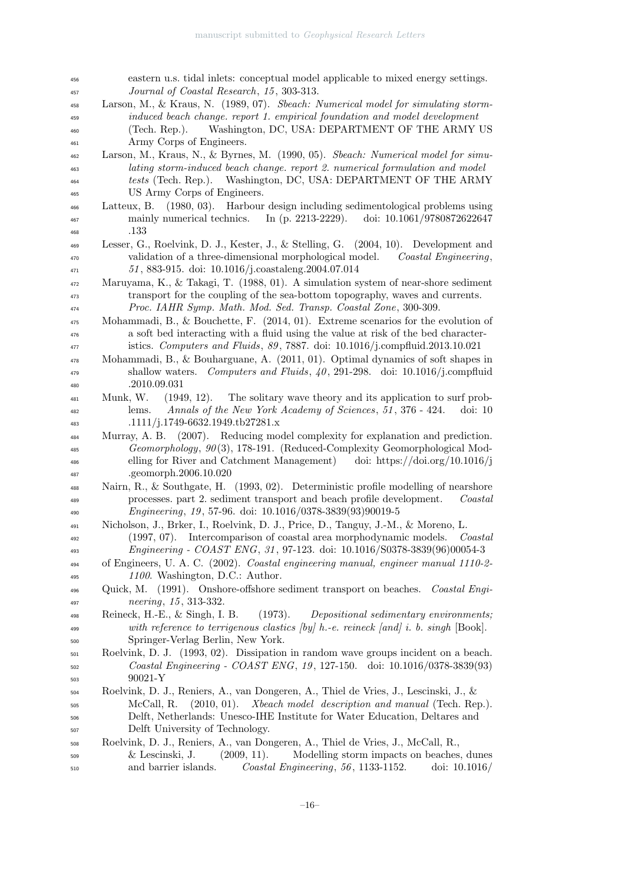| 456 | eastern u.s. tidal inlets: conceptual model applicable to mixed energy settings.              |
|-----|-----------------------------------------------------------------------------------------------|
| 457 | Journal of Coastal Research, 15, 303-313.                                                     |
| 458 | Larson, M., & Kraus, N. (1989, 07). Sheach: Numerical model for simulating storm-             |
| 459 | induced beach change. report 1. empirical foundation and model development                    |
| 460 | Washington, DC, USA: DEPARTMENT OF THE ARMY US<br>(Tech. Rep.).                               |
| 461 | Army Corps of Engineers.                                                                      |
| 462 | Larson, M., Kraus, N., & Byrnes, M. (1990, 05). Sbeach: Numerical model for simu-             |
| 463 | lating storm-induced beach change. report 2. numerical formulation and model                  |
| 464 | tests (Tech. Rep.). Washington, DC, USA: DEPARTMENT OF THE ARMY                               |
| 465 | US Army Corps of Engineers.                                                                   |
| 466 | $(1980, 03)$ . Harbour design including sedimentological problems using<br>Latteux, B.        |
| 467 | mainly numerical technics.<br>In (p. 2213-2229).<br>doi: 10.1061/9780872622647                |
| 468 | .133                                                                                          |
| 469 | Lesser, G., Roelvink, D. J., Kester, J., & Stelling, G. (2004, 10). Development and           |
| 470 | validation of a three-dimensional morphological model.<br>Coastal Engineering,                |
| 471 | 51, 883-915. doi: 10.1016/j.coastaleng.2004.07.014                                            |
| 472 | Maruyama, K., & Takagi, T. (1988, 01). A simulation system of near-shore sediment             |
| 473 | transport for the coupling of the sea-bottom topography, waves and currents.                  |
| 474 | Proc. IAHR Symp. Math. Mod. Sed. Transp. Coastal Zone, 300-309.                               |
| 475 | Mohammadi, B., & Bouchette, F. $(2014, 01)$ . Extreme scenarios for the evolution of          |
| 476 | a soft bed interacting with a fluid using the value at risk of the bed character-             |
| 477 | istics. Computers and Fluids, 89, 7887. doi: 10.1016/j.compfluid.2013.10.021                  |
| 478 | Mohammadi, B., & Bouharguane, A. $(2011, 01)$ . Optimal dynamics of soft shapes in            |
| 479 | shallow waters. Computers and Fluids, $40$ , 291-298. doi: 10.1016/j.compfluid                |
| 480 | .2010.09.031                                                                                  |
| 481 | The solitary wave theory and its application to surf prob-<br>Munk, W.<br>$(1949, 12)$ .      |
| 482 | Annals of the New York Academy of Sciences, 51, 376 - 424.<br>lems.<br>$\dot{\text{doi:}} 10$ |
| 483 | .1111/j.1749-6632.1949.tb27281.x                                                              |
| 484 | Murray, A. B. (2007). Reducing model complexity for explanation and prediction.               |
| 485 | Geomorphology, 90(3), 178-191. (Reduced-Complexity Geomorphological Mod-                      |
| 486 | elling for River and Catchment Management) doi: https://doi.org/10.1016/j                     |
| 487 | .geomorph.2006.10.020                                                                         |
| 488 | Nairn, R., & Southgate, H. (1993, 02). Deterministic profile modelling of nearshore           |
| 489 | processes. part 2. sediment transport and beach profile development.<br>Coastal               |
| 490 | <i>Engineering</i> , 19, 57-96. doi: 10.1016/0378-3839(93)90019-5                             |
| 491 | Nicholson, J., Brker, I., Roelvink, D. J., Price, D., Tanguy, J.-M., & Moreno, L.             |
| 492 | (1997, 07). Intercomparison of coastal area morphodynamic models.<br>$\textit{Coastal}$       |
| 493 | <i>Engineering - COAST ENG, 31, 97-123. doi: 10.1016/S0378-3839(96)00054-3</i>                |
| 494 | of Engineers, U.A.C. (2002). Coastal engineering manual, engineer manual 1110-2-              |
| 495 | 1100. Washington, D.C.: Author.                                                               |
| 496 | Quick, M. (1991). Onshore-offshore sediment transport on beaches.<br>Coastal Engi-            |
| 497 | neering, 15, 313-332.                                                                         |
| 498 | Reineck, H.-E., & Singh, I. B.<br>(1973).<br>Depositional sedimentary environments;           |
| 499 | with reference to terrigenous clastics $[by]$ h.-e. reineck $[and]$ i. b. singh $[Book]$ .    |
| 500 | Springer-Verlag Berlin, New York.                                                             |
| 501 | Roelvink, D. J. (1993, 02). Dissipation in random wave groups incident on a beach.            |
| 502 | Coastal Engineering - COAST ENG, 19, 127-150. doi: 10.1016/0378-3839(93)                      |
| 503 | 90021-Y                                                                                       |
| 504 | Roelvink, D. J., Reniers, A., van Dongeren, A., Thiel de Vries, J., Lescinski, J., &          |
| 505 | (2010, 01).<br>Xbeach model description and manual (Tech. Rep.).<br>McCall, R.                |
| 506 | Delft, Netherlands: Unesco-IHE Institute for Water Education, Deltares and                    |
| 507 | Delft University of Technology.                                                               |
| 508 | Roelvink, D. J., Reniers, A., van Dongeren, A., Thiel de Vries, J., McCall, R.,               |
| 509 | & Lescinski, J.<br>(2009, 11).<br>Modelling storm impacts on beaches, dunes                   |
| 510 | and barrier islands.<br>$Coastal$ Engineering, 56, 1133-1152.<br>doi: $10.1016/$              |